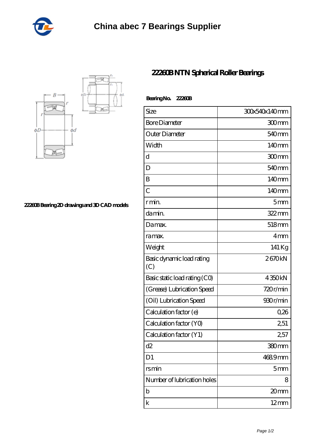



**[22260B Bearing 2D drawings and 3D CAD models](https://cornerstonegarlicfarm.com/pic-980418.html)**

## **[22260B NTN Spherical Roller Bearings](https://cornerstonegarlicfarm.com/thrust-tapered-roller-bearing/22260b.html)**

| Bearing No. 22260B               |                   |
|----------------------------------|-------------------|
| Size                             | 30x540x140mm      |
| <b>Bore Diameter</b>             | 300mm             |
| Outer Diameter                   | 540 <sub>mm</sub> |
| Width                            | 140mm             |
| d                                | 300mm             |
| D                                | 540 <sub>mm</sub> |
| B                                | 140mm             |
| $\overline{C}$                   | 140mm             |
| r min.                           | 5mm               |
| da min.                          | 322mm             |
| Damax.                           | 518mm             |
| ra max.                          | 4mm               |
| Weight                           | 141 Kg            |
| Basic dynamic load rating<br>(C) | 2670kN            |
| Basic static load rating (CO)    | 4350kN            |
| (Grease) Lubrication Speed       | 720r/min          |
| (Oil) Lubrication Speed          | 930r/min          |
| Calculation factor (e)           | 0,26              |
| Calculation factor (YO)          | 2,51              |
| Calculation factor (Y1)          | 2,57              |
| d2                               | 380mm             |
| D <sub>1</sub>                   | 4689mm            |
| rsmin                            | 5 <sub>mm</sub>   |
| Number of lubrication holes      | 8                 |
| b                                | 20mm              |
| k                                | $12 \text{mm}$    |